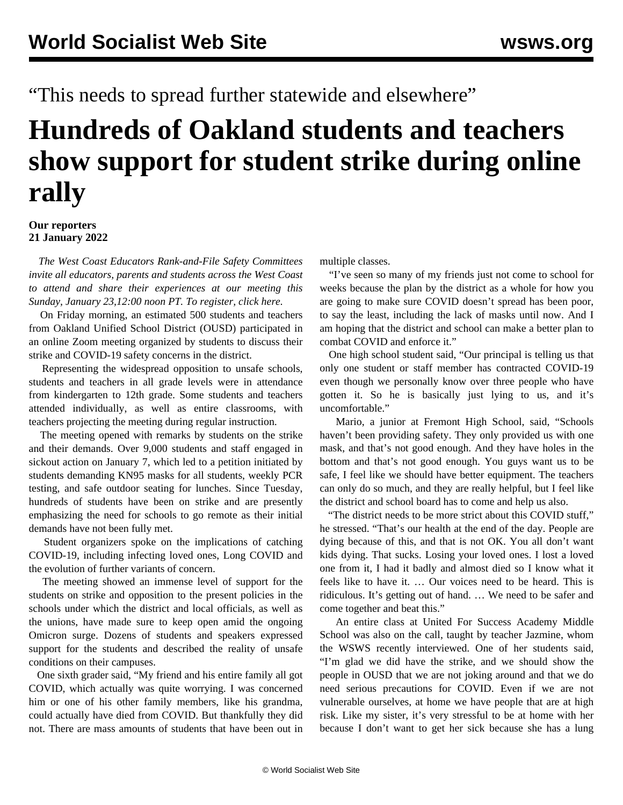"This needs to spread further statewide and elsewhere"

## **Hundreds of Oakland students and teachers show support for student strike during online rally**

## **Our reporters 21 January 2022**

 *The West Coast Educators Rank-and-File Safety Committees invite all educators, parents and students across the West Coast to attend and share their experiences at our meeting this Sunday, January 23,12:00 noon PT. To register, [click here.](https://attendee.gotowebinar.com/rt/1175492699577395213)*

 On Friday morning, an estimated 500 students and teachers from Oakland Unified School District (OUSD) participated in an online Zoom meeting organized by students to discuss their strike and COVID-19 safety concerns in the district.

 Representing the widespread opposition to unsafe schools, students and teachers in all grade levels were in attendance from kindergarten to 12th grade. Some students and teachers attended individually, as well as entire classrooms, with teachers projecting the meeting during regular instruction.

 The meeting opened with remarks by students on the strike and their demands. Over 9,000 students and staff engaged in sickout action on January 7, which led to a petition initiated by students demanding KN95 masks for all students, weekly PCR testing, and safe outdoor seating for lunches. Since Tuesday, hundreds of students have been on strike and are presently emphasizing the need for schools to go remote as their initial demands have not been fully met.

 Student organizers spoke on the implications of catching COVID-19, including infecting loved ones, Long COVID and the evolution of further variants of concern.

 The meeting showed an immense level of support for the students on strike and opposition to the present policies in the schools under which the district and local officials, as well as the unions, have made sure to keep open amid the ongoing Omicron surge. Dozens of students and speakers expressed support for the students and described the reality of unsafe conditions on their campuses.

 One sixth grader said, "My friend and his entire family all got COVID, which actually was quite worrying. I was concerned him or one of his other family members, like his grandma, could actually have died from COVID. But thankfully they did not. There are mass amounts of students that have been out in multiple classes.

 "I've seen so many of my friends just not come to school for weeks because the plan by the district as a whole for how you are going to make sure COVID doesn't spread has been poor, to say the least, including the lack of masks until now. And I am hoping that the district and school can make a better plan to combat COVID and enforce it."

 One high school student said, "Our principal is telling us that only one student or staff member has contracted COVID-19 even though we personally know over three people who have gotten it. So he is basically just lying to us, and it's uncomfortable."

 Mario, a junior at Fremont High School, said, "Schools haven't been providing safety. They only provided us with one mask, and that's not good enough. And they have holes in the bottom and that's not good enough. You guys want us to be safe, I feel like we should have better equipment. The teachers can only do so much, and they are really helpful, but I feel like the district and school board has to come and help us also.

 "The district needs to be more strict about this COVID stuff," he stressed. "That's our health at the end of the day. People are dying because of this, and that is not OK. You all don't want kids dying. That sucks. Losing your loved ones. I lost a loved one from it, I had it badly and almost died so I know what it feels like to have it. … Our voices need to be heard. This is ridiculous. It's getting out of hand. … We need to be safer and come together and beat this."

 An entire class at United For Success Academy Middle School was also on the call, taught by teacher Jazmine, whom the WSWS recently interviewed. One of her students said, "I'm glad we did have the strike, and we should show the people in OUSD that we are not joking around and that we do need serious precautions for COVID. Even if we are not vulnerable ourselves, at home we have people that are at high risk. Like my sister, it's very stressful to be at home with her because I don't want to get her sick because she has a lung